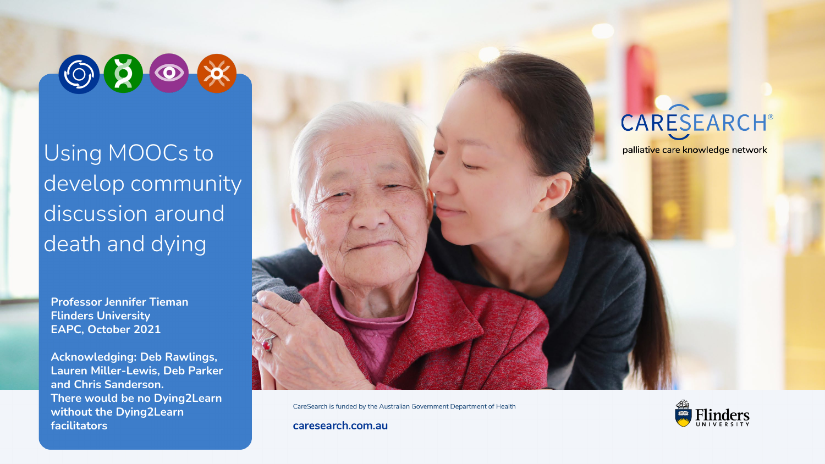

Using MOOCs to develop community discussion around death and dying

**Professor Jennifer Tieman Flinders University EAPC, October 2021**

**Acknowledging: Deb Rawlings, Lauren Miller-Lewis, Deb Parker and Chris Sanderson. There would be no Dying2Learn without the Dying2Learn facilitators**



CareSearch is funded by the Australian Government Department of Health



caresearch.com.au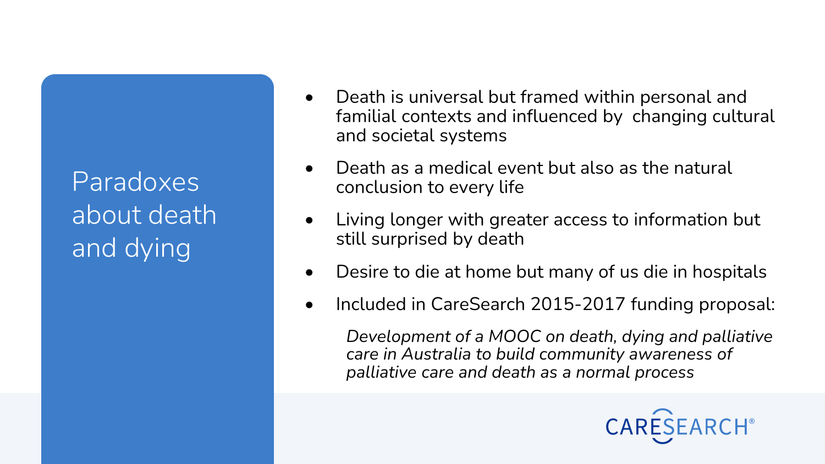Paradoxes about death and dying

- Death is universal but framed within personal and familial contexts and influenced by changing cultural and societal systems
- Death as a medical event but also as the natural conclusion to every life
- Living longer with greater access to information but still surprised by death
- Desire to die at home but many of us die in hospitals
- Included in CareSearch 2015-2017 funding proposal:

*Development of a MOOC on death, dying and palliative care in Australia to build community awareness of palliative care and death as a normal process*

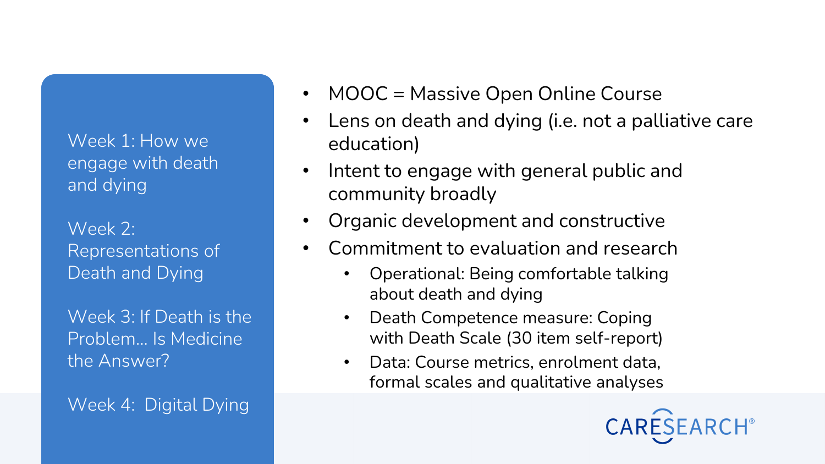Week 1: How we engage with death and dying

Week 2: Representations of Death and Dying

Week 3: If Death is the Problem... Is Medicine the Answer?

Week 4: Digital Dying

- MOOC = Massive Open Online Course
- Lens on death and dying (i.e. not a palliative care education)
- Intent to engage with general public and community broadly
- Organic development and constructive
- Commitment to evaluation and research
	- Operational: Being comfortable talking about death and dying
	- Death Competence measure: Coping with Death Scale (30 item self-report)
	- Data: Course metrics, enrolment data, formal scales and qualitative analyses

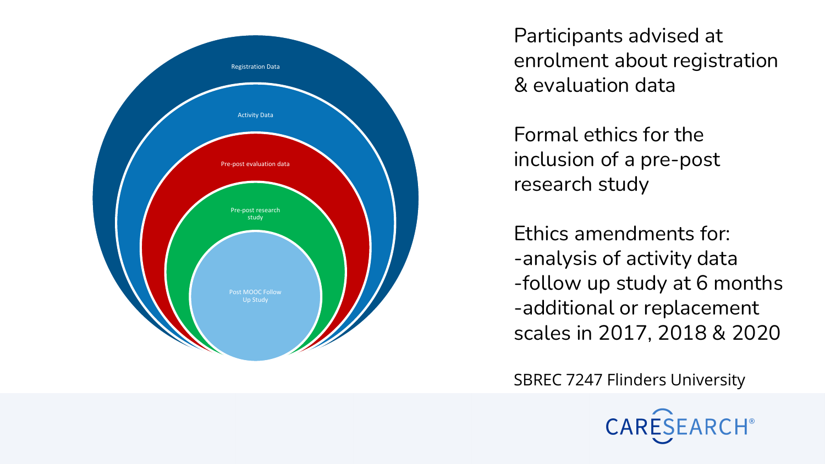

Participants advised at enrolment about registration & evaluation data

Formal ethics for the inclusion of a pre -post research study

Ethics amendments for: -analysis of activity data -follow up study at 6 months -additional or replacement scales in 2017, 2018 & 2020

SBREC 7247 Flinders University

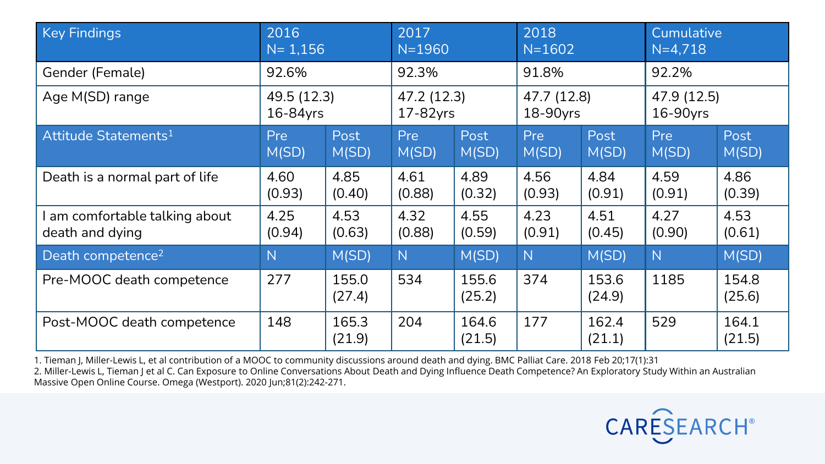| <b>Key Findings</b>              | 2016        |                 | 2017        |                 | 2018        |                 | Cumulative  |                 |
|----------------------------------|-------------|-----------------|-------------|-----------------|-------------|-----------------|-------------|-----------------|
|                                  | $N = 1,156$ |                 | $N = 1960$  |                 | $N = 1602$  |                 | $N=4,718$   |                 |
| Gender (Female)                  | 92.6%       |                 | 92.3%       |                 | 91.8%       |                 | 92.2%       |                 |
| Age M(SD) range                  | 49.5 (12.3) |                 | 47.2 (12.3) |                 | 47.7 (12.8) |                 | 47.9 (12.5) |                 |
|                                  | 16-84yrs    |                 | 17-82yrs    |                 | 18-90yrs    |                 | 16-90yrs    |                 |
| Attitude Statements <sup>1</sup> | Pre         | Post            | Pre         | Post            | Pre         | Post            | <b>Pre</b>  | Post            |
|                                  | M(SD)       | M(SD)           | M(SD)       | M(SD)           | M(SD)       | M(SD)           | M(SD)       | M(SD)           |
| Death is a normal part of life   | 4.60        | 4.85            | 4.61        | 4.89            | 4.56        | 4.84            | 4.59        | 4.86            |
|                                  | (0.93)      | (0.40)          | (0.88)      | (0.32)          | (0.93)      | (0.91)          | (0.91)      | (0.39)          |
| am comfortable talking about     | 4.25        | 4.53            | 4.32        | 4.55            | 4.23        | 4.51            | 4.27        | 4.53            |
| death and dying                  | (0.94)      | (0.63)          | (0.88)      | (0.59)          | (0.91)      | (0.45)          | (0.90)      | (0.61)          |
| Death competence <sup>2</sup>    | N           | M(SD)           | N           | M(SD)           | N           | M(SD)           | N           | M(SD)           |
| Pre-MOOC death competence        | 277         | 155.0<br>(27.4) | 534         | 155.6<br>(25.2) | 374         | 153.6<br>(24.9) | 1185        | 154.8<br>(25.6) |
| Post-MOOC death competence       | 148         | 165.3<br>(21.9) | 204         | 164.6<br>(21.5) | 177         | 162.4<br>(21.1) | 529         | 164.1<br>(21.5) |

1. Tieman J, Miller-Lewis L, et al contribution of a MOOC to community discussions around death and dying. BMC Palliat Care. 2018 Feb 20;17(1):31 2. Miller-Lewis L, Tieman J et al C. Can Exposure to Online Conversations About Death and Dying Influence Death Competence? An Exploratory Study Within an Australian Massive Open Online Course. Omega (Westport). 2020 Jun;81(2):242-271.